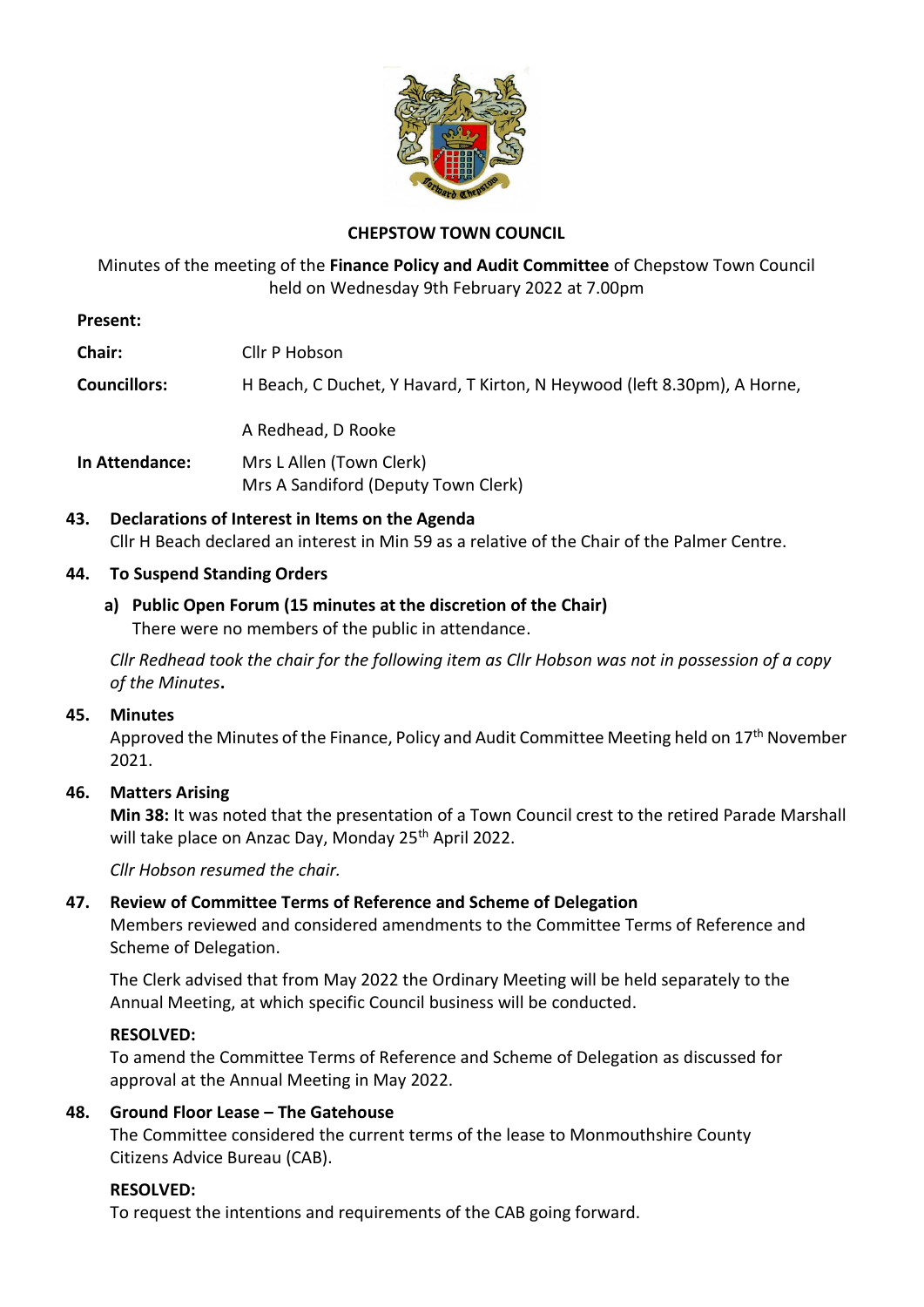

# **CHEPSTOW TOWN COUNCIL**

Minutes of the meeting of the **Finance Policy and Audit Committee** of Chepstow Town Council held on Wednesday 9th February 2022 at 7.00pm

### **Present:**

**Chair:** Cllr P Hobson

**Councillors:** H Beach, C Duchet, Y Havard, T Kirton, N Heywood (left 8.30pm), A Horne,

A Redhead, D Rooke

**In Attendance:** Mrs L Allen (Town Clerk) Mrs A Sandiford (Deputy Town Clerk)

**43. Declarations of Interest in Items on the Agenda** Cllr H Beach declared an interest in Min 59 as a relative of the Chair of the Palmer Centre.

### **44. To Suspend Standing Orders**

#### **a) Public Open Forum (15 minutes at the discretion of the Chair)** There were no members of the public in attendance.

*Cllr Redhead took the chair for the following item as Cllr Hobson was not in possession of a copy of the Minutes***.**

### **45. Minutes**

Approved the Minutes of the Finance, Policy and Audit Committee Meeting held on 17<sup>th</sup> November 2021.

### **46. Matters Arising**

**Min 38:** It was noted that the presentation of a Town Council crest to the retired Parade Marshall will take place on Anzac Day, Monday 25<sup>th</sup> April 2022.

*Cllr Hobson resumed the chair.*

### **47. Review of Committee Terms of Reference and Scheme of Delegation**

Members reviewed and considered amendments to the Committee Terms of Reference and Scheme of Delegation.

The Clerk advised that from May 2022 the Ordinary Meeting will be held separately to the Annual Meeting, at which specific Council business will be conducted.

### **RESOLVED:**

To amend the Committee Terms of Reference and Scheme of Delegation as discussed for approval at the Annual Meeting in May 2022.

### **48. Ground Floor Lease – The Gatehouse**

The Committee considered the current terms of the lease to Monmouthshire County Citizens Advice Bureau (CAB).

### **RESOLVED:**

To request the intentions and requirements of the CAB going forward.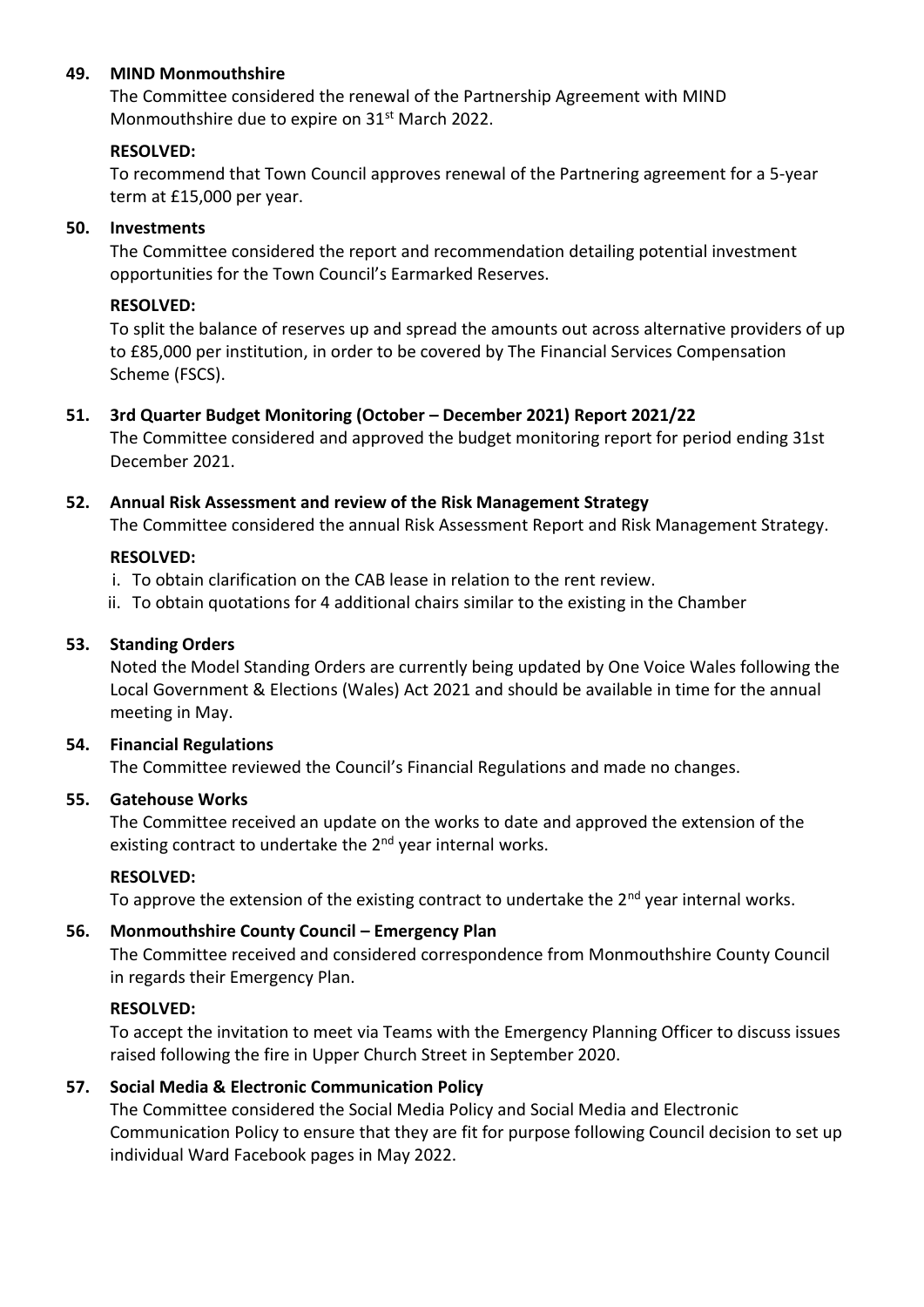### **49. MIND Monmouthshire**

The Committee considered the renewal of the Partnership Agreement with MIND Monmouthshire due to expire on 31<sup>st</sup> March 2022.

#### **RESOLVED:**

To recommend that Town Council approves renewal of the Partnering agreement for a 5-year term at £15,000 per year.

### **50. Investments**

The Committee considered the report and recommendation detailing potential investment opportunities for the Town Council's Earmarked Reserves.

### **RESOLVED:**

To split the balance of reserves up and spread the amounts out across alternative providers of up to £85,000 per institution, in order to be covered by The Financial Services Compensation Scheme (FSCS).

### **51. 3rd Quarter Budget Monitoring (October – December 2021) Report 2021/22**

The Committee considered and approved the budget monitoring report for period ending 31st December 2021.

### **52. Annual Risk Assessment and review of the Risk Management Strategy**

The Committee considered the annual Risk Assessment Report and Risk Management Strategy.

### **RESOLVED:**

- i. To obtain clarification on the CAB lease in relation to the rent review.
- ii. To obtain quotations for 4 additional chairs similar to the existing in the Chamber

### **53. Standing Orders**

Noted the Model Standing Orders are currently being updated by One Voice Wales following the Local Government & Elections (Wales) Act 2021 and should be available in time for the annual meeting in May.

### **54. Financial Regulations**

The Committee reviewed the Council's Financial Regulations and made no changes.

### **55. Gatehouse Works**

The Committee received an update on the works to date and approved the extension of the existing contract to undertake the 2<sup>nd</sup> year internal works.

### **RESOLVED:**

To approve the extension of the existing contract to undertake the  $2^{nd}$  year internal works.

### **56. Monmouthshire County Council – Emergency Plan**

The Committee received and considered correspondence from Monmouthshire County Council in regards their Emergency Plan.

### **RESOLVED:**

To accept the invitation to meet via Teams with the Emergency Planning Officer to discuss issues raised following the fire in Upper Church Street in September 2020.

### **57. Social Media & Electronic Communication Policy**

The Committee considered the Social Media Policy and Social Media and Electronic Communication Policy to ensure that they are fit for purpose following Council decision to set up individual Ward Facebook pages in May 2022.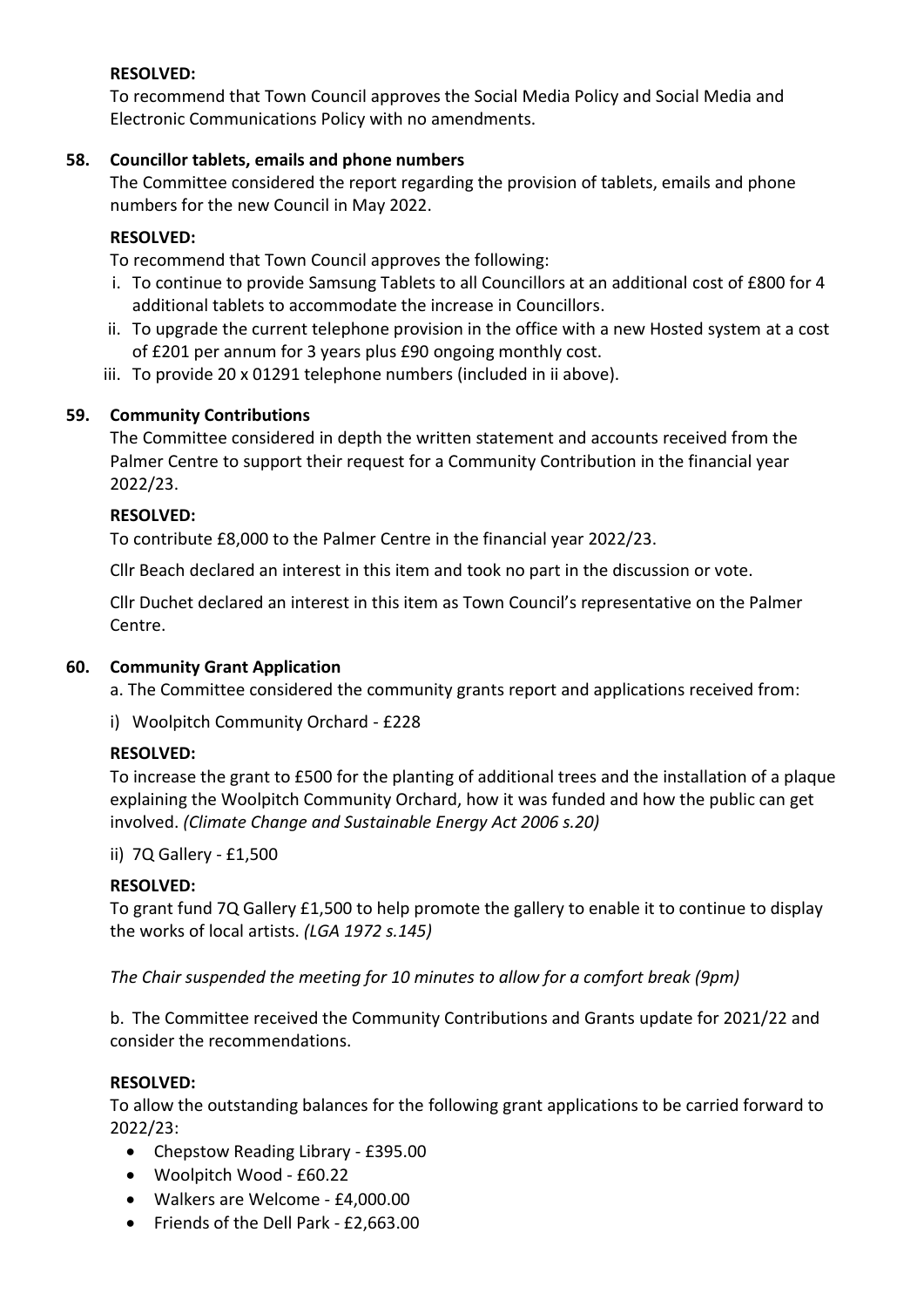## **RESOLVED:**

To recommend that Town Council approves the Social Media Policy and Social Media and Electronic Communications Policy with no amendments.

### **58. Councillor tablets, emails and phone numbers**

The Committee considered the report regarding the provision of tablets, emails and phone numbers for the new Council in May 2022.

## **RESOLVED:**

To recommend that Town Council approves the following:

- i. To continue to provide Samsung Tablets to all Councillors at an additional cost of £800 for 4 additional tablets to accommodate the increase in Councillors.
- ii. To upgrade the current telephone provision in the office with a new Hosted system at a cost of £201 per annum for 3 years plus £90 ongoing monthly cost.
- iii. To provide 20 x 01291 telephone numbers (included in ii above).

# **59. Community Contributions**

The Committee considered in depth the written statement and accounts received from the Palmer Centre to support their request for a Community Contribution in the financial year 2022/23.

# **RESOLVED:**

To contribute £8,000 to the Palmer Centre in the financial year 2022/23.

Cllr Beach declared an interest in this item and took no part in the discussion or vote.

Cllr Duchet declared an interest in this item as Town Council's representative on the Palmer Centre.

### **60. Community Grant Application**

a. The Committee considered the community grants report and applications received from:

i) Woolpitch Community Orchard - £228

# **RESOLVED:**

To increase the grant to £500 for the planting of additional trees and the installation of a plaque explaining the Woolpitch Community Orchard, how it was funded and how the public can get involved. *(Climate Change and Sustainable Energy Act 2006 s.20)*

### ii) 7Q Gallery - £1,500

### **RESOLVED:**

To grant fund 7Q Gallery £1,500 to help promote the gallery to enable it to continue to display the works of local artists. *(LGA 1972 s.145)*

*The Chair suspended the meeting for 10 minutes to allow for a comfort break (9pm)*

b. The Committee received the Community Contributions and Grants update for 2021/22 and consider the recommendations.

### **RESOLVED:**

To allow the outstanding balances for the following grant applications to be carried forward to 2022/23:

- Chepstow Reading Library £395.00
- Woolpitch Wood £60.22
- Walkers are Welcome £4,000.00
- Friends of the Dell Park £2,663.00